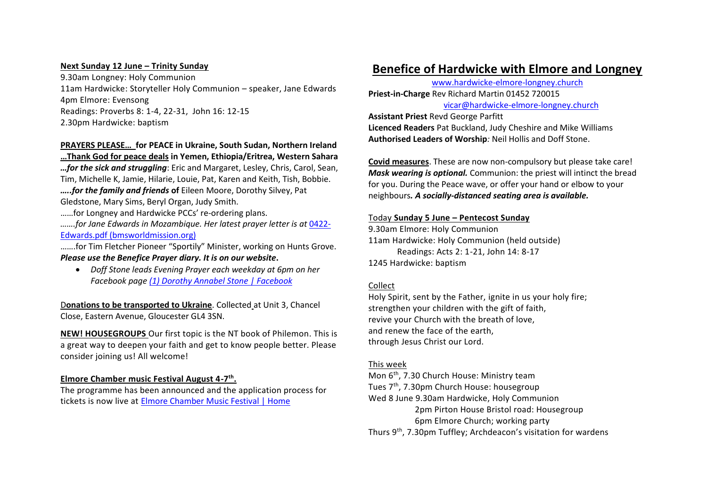#### **Next Sunday 12 June – Trinity Sunday**

9.30am Longney: Holy Communion 11am Hardwicke: Storyteller Holy Communion – speaker, Jane Edwards 4pm Elmore: Evensong Readings: Proverbs 8: 1-4, 22-31, John 16: 12-15 2.30pm Hardwicke: baptism

# **PRAYERS PLEASE… for PEACE in Ukraine, South Sudan, Northern Ireland**

**…Thank God for peace deals in Yemen, Ethiopia/Eritrea, Western Sahara** *…for the sick and struggling*: Eric and Margaret, Lesley, Chris, Carol, Sean, Tim, Michelle K, Jamie, Hilarie, Louie, Pat, Karen and Keith, Tish, Bobbie. *…..for the family and friends* **of** Eileen Moore, Dorothy Silvey, Pat Gledstone, Mary Sims, Beryl Organ, Judy Smith.

……for Longney and Hardwicke PCCs' re-ordering plans.

*…….for Jane Edwards in Mozambique. Her latest prayer letter is at* 0422- Edwards.pdf (bmsworldmission.org)

…….for Tim Fletcher Pioneer "Sportily" Minister, working on Hunts Grove. *Please use the Benefice Prayer diary. It is on our website***.**

• *Doff Stone leads Evening Prayer each weekday at 6pm on her Facebook page (1) Dorothy Annabel Stone | Facebook*

D**onations to be transported to Ukraine**. Collected at Unit 3, Chancel Close, Eastern Avenue, Gloucester GL4 3SN.

**NEW! HOUSEGROUPS** Our first topic is the NT book of Philemon. This is a great way to deepen your faith and get to know people better. Please consider joining us! All welcome!

# **Elmore Chamber music Festival August 4-7 th .**

The programme has been announced and the application process for tickets is now live at Elmore Chamber Music Festival | Home

# **Benefice of Hardwicke with Elmore and Longney**

www.hardwicke-elmore-longney.church **Priest-in-Charge** Rev Richard Martin 01452 720015 vicar@hardwicke-elmore-longney.church

**Assistant Priest** Revd George Parfitt **Licenced Readers** Pat Buckland, Judy Cheshire and Mike Williams **Authorised Leaders of Worship***:* Neil Hollis and Doff Stone.

**Covid measures**. These are now non-compulsory but please take care! *Mask wearing is optional.* Communion: the priest will intinct the bread for you. During the Peace wave, or offer your hand or elbow to your neighbours*. A socially-distanced seating area is available.*

#### Today **Sunday 5 June – Pentecost Sunday**

9.30am Elmore: Holy Communion 11am Hardwicke: Holy Communion (held outside) Readings: Acts 2: 1-21, John 14: 8-17 1245 Hardwicke: baptism

# Collect

Holy Spirit, sent by the Father, ignite in us your holy fire; strengthen your children with the gift of faith, revive your Church with the breath of love, and renew the face of the earth, through Jesus Christ our Lord.

# This week

Mon 6th, 7.30 Church House: Ministry team

Tues 7th, 7.30pm Church House: housegroup

Wed 8 June 9.30am Hardwicke, Holy Communion

 2pm Pirton House Bristol road: Housegroup 6pm Elmore Church; working party

Thurs 9th, 7.30pm Tuffley; Archdeacon's visitation for wardens